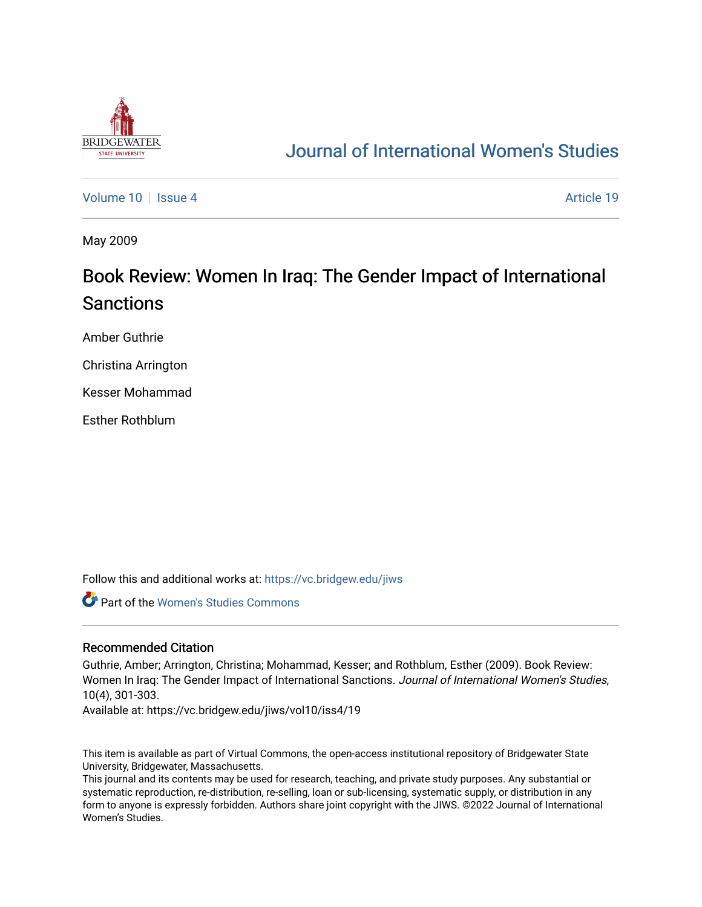

## [Journal of International Women's Studies](https://vc.bridgew.edu/jiws)

[Volume 10](https://vc.bridgew.edu/jiws/vol10) | [Issue 4](https://vc.bridgew.edu/jiws/vol10/iss4) Article 19

May 2009

# Book Review: Women In Iraq: The Gender Impact of International Sanctions

Amber Guthrie

Christina Arrington

Kesser Mohammad

Esther Rothblum

Follow this and additional works at: [https://vc.bridgew.edu/jiws](https://vc.bridgew.edu/jiws?utm_source=vc.bridgew.edu%2Fjiws%2Fvol10%2Fiss4%2F19&utm_medium=PDF&utm_campaign=PDFCoverPages)

Part of the [Women's Studies Commons](http://network.bepress.com/hgg/discipline/561?utm_source=vc.bridgew.edu%2Fjiws%2Fvol10%2Fiss4%2F19&utm_medium=PDF&utm_campaign=PDFCoverPages) 

#### Recommended Citation

Guthrie, Amber; Arrington, Christina; Mohammad, Kesser; and Rothblum, Esther (2009). Book Review: Women In Iraq: The Gender Impact of International Sanctions. Journal of International Women's Studies, 10(4), 301-303.

Available at: https://vc.bridgew.edu/jiws/vol10/iss4/19

This item is available as part of Virtual Commons, the open-access institutional repository of Bridgewater State University, Bridgewater, Massachusetts.

This journal and its contents may be used for research, teaching, and private study purposes. Any substantial or systematic reproduction, re-distribution, re-selling, loan or sub-licensing, systematic supply, or distribution in any form to anyone is expressly forbidden. Authors share joint copyright with the JIWS. ©2022 Journal of International Women's Studies.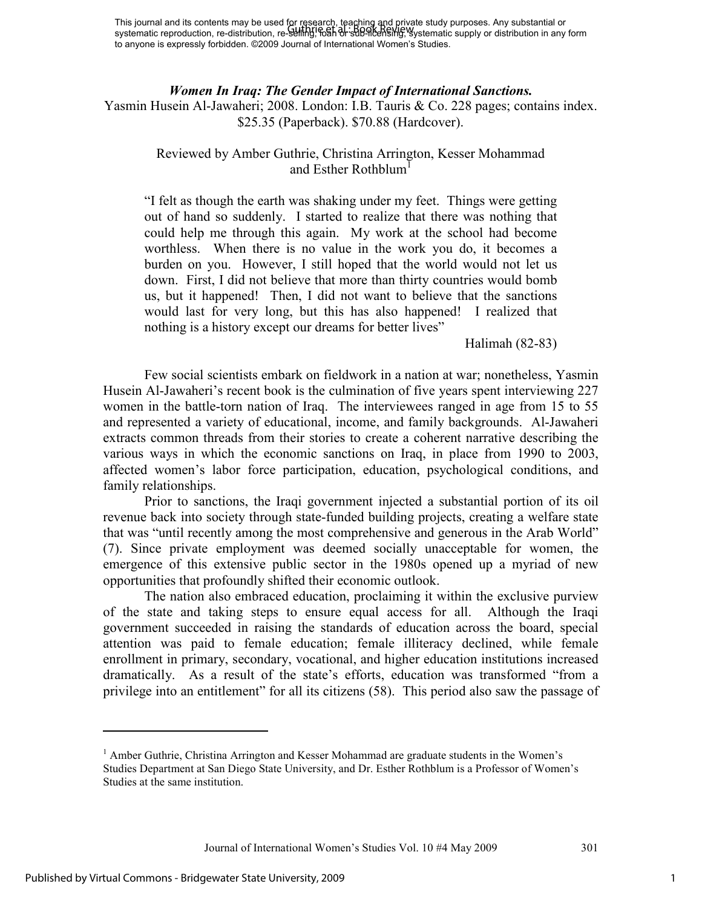This journal and its contents may be used for research, teaching and private study purposes. Any substantial or This journal and its contents may be used for research, reading and private study purposes. Any substantial or<br>systematic reproduction, re-distribution, re-selling, back or sub-licensing, systematic supply or distribution to anyone is expressly forbidden. ©2009 Journal of International Women's Studies.

#### *Women In Iraq: The Gender Impact of International Sanctions.*

Yasmin Husein Al-Jawaheri; 2008. London: I.B. Tauris & Co. 228 pages; contains index. \$25.35 (Paperback). \$70.88 (Hardcover).

### Reviewed by Amber Guthrie, Christina Arrington, Kesser Mohammad and Esther Rothblum<sup>1</sup>

"I felt as though the earth was shaking under my feet. Things were getting out of hand so suddenly. I started to realize that there was nothing that could help me through this again. My work at the school had become worthless. When there is no value in the work you do, it becomes a burden on you. However, I still hoped that the world would not let us down. First, I did not believe that more than thirty countries would bomb us, but it happened! Then, I did not want to believe that the sanctions would last for very long, but this has also happened! I realized that nothing is a history except our dreams for better lives"

Halimah (82-83)

Few social scientists embark on fieldwork in a nation at war; nonetheless, Yasmin Husein Al-Jawaheri's recent book is the culmination of five years spent interviewing 227 women in the battle-torn nation of Iraq. The interviewees ranged in age from 15 to 55 and represented a variety of educational, income, and family backgrounds. Al-Jawaheri extracts common threads from their stories to create a coherent narrative describing the various ways in which the economic sanctions on Iraq, in place from 1990 to 2003, affected women's labor force participation, education, psychological conditions, and family relationships.

Prior to sanctions, the Iraqi government injected a substantial portion of its oil revenue back into society through state-funded building projects, creating a welfare state that was "until recently among the most comprehensive and generous in the Arab World" (7). Since private employment was deemed socially unacceptable for women, the emergence of this extensive public sector in the 1980s opened up a myriad of new opportunities that profoundly shifted their economic outlook.

The nation also embraced education, proclaiming it within the exclusive purview of the state and taking steps to ensure equal access for all. Although the Iraqi government succeeded in raising the standards of education across the board, special attention was paid to female education; female illiteracy declined, while female enrollment in primary, secondary, vocational, and higher education institutions increased dramatically. As a result of the state's efforts, education was transformed "from a privilege into an entitlement" for all its citizens (58). This period also saw the passage of

-

<sup>&</sup>lt;sup>1</sup> Amber Guthrie, Christina Arrington and Kesser Mohammad are graduate students in the Women's Studies Department at San Diego State University, and Dr. Esther Rothblum is a Professor of Women's Studies at the same institution.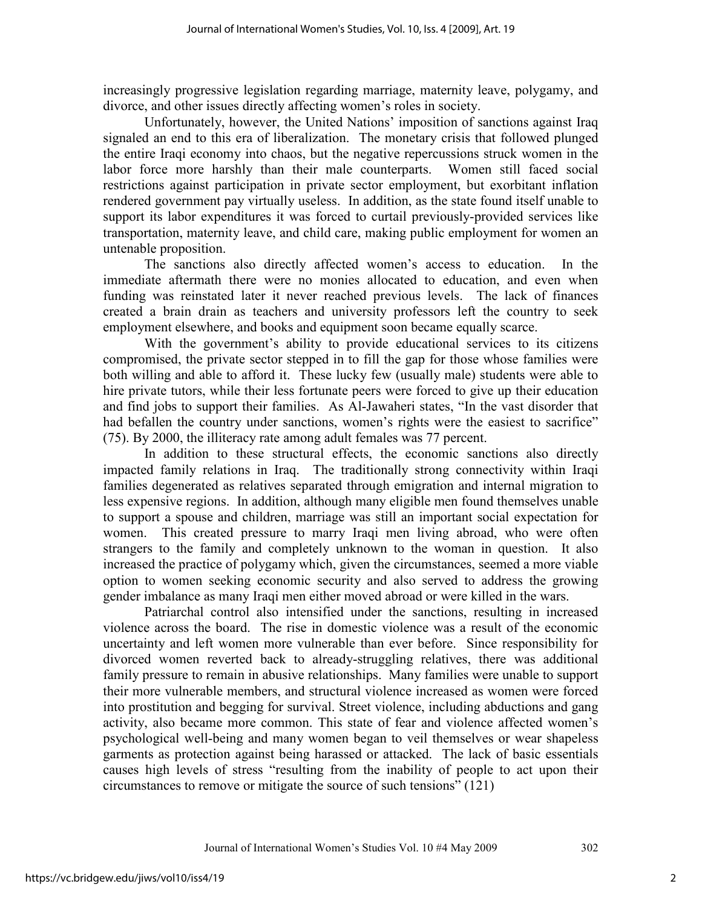increasingly progressive legislation regarding marriage, maternity leave, polygamy, and divorce, and other issues directly affecting women's roles in society.

Unfortunately, however, the United Nations' imposition of sanctions against Iraq signaled an end to this era of liberalization. The monetary crisis that followed plunged the entire Iraqi economy into chaos, but the negative repercussions struck women in the labor force more harshly than their male counterparts. Women still faced social restrictions against participation in private sector employment, but exorbitant inflation rendered government pay virtually useless. In addition, as the state found itself unable to support its labor expenditures it was forced to curtail previously-provided services like transportation, maternity leave, and child care, making public employment for women an untenable proposition.

The sanctions also directly affected women's access to education. In the immediate aftermath there were no monies allocated to education, and even when funding was reinstated later it never reached previous levels. The lack of finances created a brain drain as teachers and university professors left the country to seek employment elsewhere, and books and equipment soon became equally scarce.

With the government's ability to provide educational services to its citizens compromised, the private sector stepped in to fill the gap for those whose families were both willing and able to afford it. These lucky few (usually male) students were able to hire private tutors, while their less fortunate peers were forced to give up their education and find jobs to support their families. As Al-Jawaheri states, "In the vast disorder that had befallen the country under sanctions, women's rights were the easiest to sacrifice" (75). By 2000, the illiteracy rate among adult females was 77 percent.

In addition to these structural effects, the economic sanctions also directly impacted family relations in Iraq. The traditionally strong connectivity within Iraqi families degenerated as relatives separated through emigration and internal migration to less expensive regions. In addition, although many eligible men found themselves unable to support a spouse and children, marriage was still an important social expectation for women. This created pressure to marry Iraqi men living abroad, who were often strangers to the family and completely unknown to the woman in question. It also increased the practice of polygamy which, given the circumstances, seemed a more viable option to women seeking economic security and also served to address the growing gender imbalance as many Iraqi men either moved abroad or were killed in the wars.

Patriarchal control also intensified under the sanctions, resulting in increased violence across the board. The rise in domestic violence was a result of the economic uncertainty and left women more vulnerable than ever before. Since responsibility for divorced women reverted back to already-struggling relatives, there was additional family pressure to remain in abusive relationships. Many families were unable to support their more vulnerable members, and structural violence increased as women were forced into prostitution and begging for survival. Street violence, including abductions and gang activity, also became more common. This state of fear and violence affected women's psychological well-being and many women began to veil themselves or wear shapeless garments as protection against being harassed or attacked. The lack of basic essentials causes high levels of stress "resulting from the inability of people to act upon their circumstances to remove or mitigate the source of such tensions" (121)

2